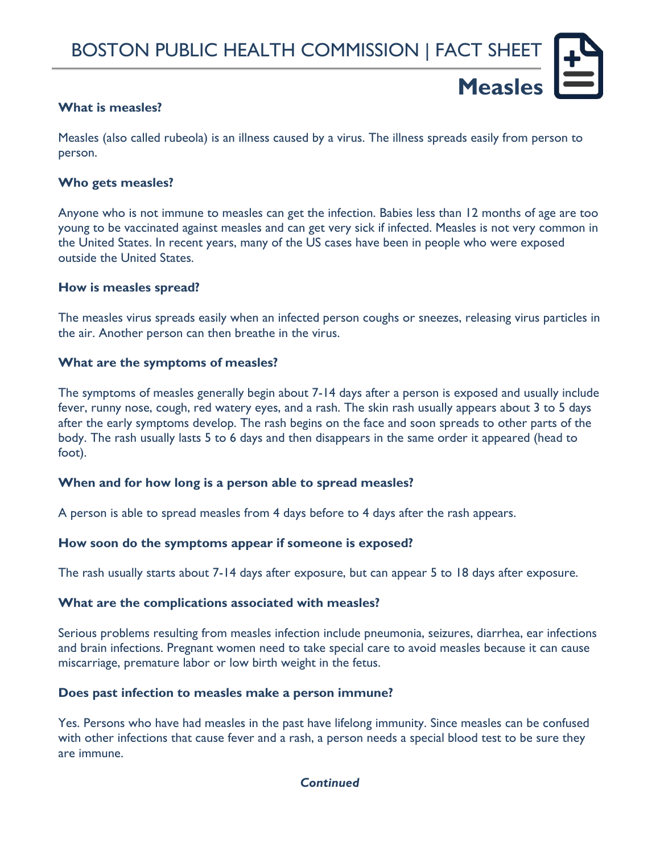**Measles**

## **What is measles?**

Measles (also called rubeola) is an illness caused by a virus. The illness spreads easily from person to person.

### **Who gets measles?**

Anyone who is not immune to measles can get the infection. Babies less than 12 months of age are too young to be vaccinated against measles and can get very sick if infected. Measles is not very common in the United States. In recent years, many of the US cases have been in people who were exposed outside the United States.

### **How is measles spread?**

The measles virus spreads easily when an infected person coughs or sneezes, releasing virus particles in the air. Another person can then breathe in the virus.

### **What are the symptoms of measles?**

The symptoms of measles generally begin about 7-14 days after a person is exposed and usually include fever, runny nose, cough, red watery eyes, and a rash. The skin rash usually appears about 3 to 5 days after the early symptoms develop. The rash begins on the face and soon spreads to other parts of the body. The rash usually lasts 5 to 6 days and then disappears in the same order it appeared (head to foot).

## **When and for how long is a person able to spread measles?**

A person is able to spread measles from 4 days before to 4 days after the rash appears.

## **How soon do the symptoms appear if someone is exposed?**

The rash usually starts about 7-14 days after exposure, but can appear 5 to 18 days after exposure.

#### **What are the complications associated with measles?**

Serious problems resulting from measles infection include pneumonia, seizures, diarrhea, ear infections and brain infections. Pregnant women need to take special care to avoid measles because it can cause miscarriage, premature labor or low birth weight in the fetus.

#### **Does past infection to measles make a person immune?**

Yes. Persons who have had measles in the past have lifelong immunity. Since measles can be confused with other infections that cause fever and a rash, a person needs a special blood test to be sure they are immune.

## *Continued*